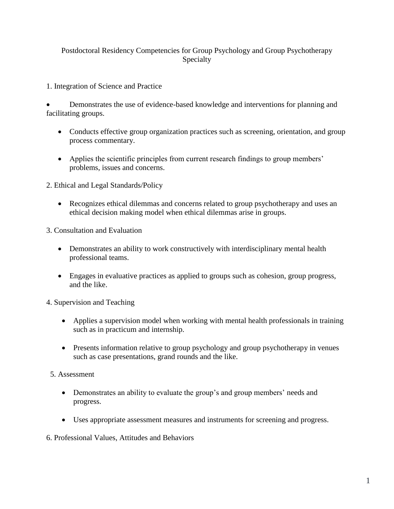## Postdoctoral Residency Competencies for Group Psychology and Group Psychotherapy Specialty

1. Integration of Science and Practice

 Demonstrates the use of evidence-based knowledge and interventions for planning and facilitating groups.

- Conducts effective group organization practices such as screening, orientation, and group process commentary.
- Applies the scientific principles from current research findings to group members' problems, issues and concerns.
- 2. Ethical and Legal Standards/Policy
	- Recognizes ethical dilemmas and concerns related to group psychotherapy and uses an ethical decision making model when ethical dilemmas arise in groups.
- 3. Consultation and Evaluation
	- Demonstrates an ability to work constructively with interdisciplinary mental health professional teams.
	- Engages in evaluative practices as applied to groups such as cohesion, group progress, and the like.

4. Supervision and Teaching

- Applies a supervision model when working with mental health professionals in training such as in practicum and internship.
- Presents information relative to group psychology and group psychotherapy in venues such as case presentations, grand rounds and the like.
- 5. Assessment
	- Demonstrates an ability to evaluate the group's and group members' needs and progress.
	- Uses appropriate assessment measures and instruments for screening and progress.
- 6. Professional Values, Attitudes and Behaviors